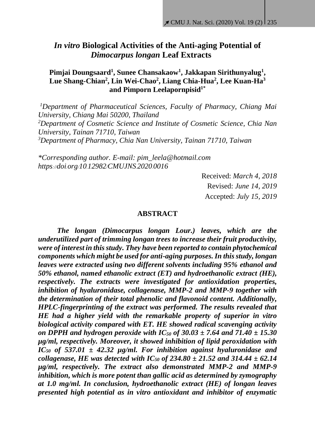# *In vitro* **Biological Activities of the Anti-aging Potential of**  *Dimocarpus longan* **Leaf Extracts**

**Pimjai Doungsaard<sup>1</sup> , Sunee Chansakaow<sup>1</sup> , Jakkapan Sirithunyalug<sup>1</sup> , Lue Shang-Chian<sup>2</sup> , Lin Wei-Chao<sup>2</sup> , Liang Chia-Hua<sup>2</sup> , Lee Kuan-Ha<sup>3</sup> and Pimporn Leelapornpisid1\***

*<sup>1</sup>Department of Pharmaceutical Sciences, Faculty of Pharmacy, Chiang Mai University, Chiang Mai 50200, Thailand <sup>2</sup>Department of Cosmetic Science and Institute of Cosmetic Science, Chia Nan University, Tainan 71710, Taiwan <sup>3</sup>Department of Pharmacy, Chia Nan University, Tainan 71710, Taiwan*

*\*Corresponding author. E-mail: [pim\\_leela@hotmail.com](mailto:pim_leela@hotmail.com) https://doi.org/10.12982/CMUJNS.2020.0016*

> Received: *March 4, 2018* Revised: *June 14, 2019* Accepted: *July 15, 2019*

## **ABSTRACT**

*The longan (Dimocarpus longan Lour.) leaves, which are the underutilized part of trimming longan trees to increase their fruit productivity, were of interest in this study. They have been reported to contain phytochemical components which might be used for anti-aging purposes. In this study, longan leaves were extracted using two different solvents including 95% ethanol and 50% ethanol, named ethanolic extract (ET) and hydroethanolic extract (HE), respectively. The extracts were investigated for antioxidation properties, inhibition of hyaluronidase, collagenase, MMP-2 and MMP-9 together with the determination of their total phenolic and flavonoid content. Additionally, HPLC-fingerprinting of the extract was performed. The results revealed that HE had a higher yield with the remarkable property of superior in vitro biological activity compared with ET. HE showed radical scavenging activity on DPPH and hydrogen peroxide with*  $IC_{50}$  *of 30.03*  $\pm$  7.64 *and 71.40*  $\pm$  15.30 *µg/ml, respectively. Moreover, it showed inhibition of lipid peroxidation with IC*<sub>50</sub> of 537.01  $\pm$  42.32  $\mu$ g/ml. For inhibition against hyaluronidase and *collagenase, HE was detected with*  $IC_{50}$  *of 234.80*  $\pm$  21.52 *and 314.44*  $\pm$  62.14 *µg/ml, respectively. The extract also demonstrated MMP-2 and MMP-9 inhibition, which is more potent than gallic acid as determined by zymography at 1.0 mg/ml. In conclusion, hydroethanolic extract (HE) of longan leaves presented high potential as in vitro antioxidant and inhibitor of enzymatic*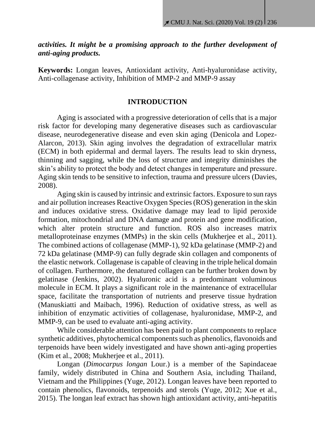## *activities. It might be a promising approach to the further development of anti-aging products.*

**Keywords:** Longan leaves, Antioxidant activity, Anti-hyaluronidase activity, Anti-collagenase activity, Inhibition of MMP-2 and MMP-9 assay

#### **INTRODUCTION**

Aging is associated with a progressive deterioration of cells that is a major risk factor for developing many degenerative diseases such as cardiovascular disease, neurodegenerative disease and even skin aging (Denicola and Lopez-Alarcon, 2013). Skin aging involves the degradation of extracellular matrix (ECM) in both epidermal and dermal layers. The results lead to skin dryness, thinning and sagging, while the loss of structure and integrity diminishes the skin's ability to protect the body and detect changes in temperature and pressure. Aging skin tends to be sensitive to infection, trauma and pressure ulcers (Davies, 2008).

Aging skin is caused by intrinsic and extrinsic factors. Exposure to sun rays and air pollution increases Reactive Oxygen Species (ROS) generation in the skin and induces oxidative stress. Oxidative damage may lead to lipid peroxide formation, mitochondrial and DNA damage and protein and gene modification, which alter protein structure and function. ROS also increases matrix metalloproteinase enzymes (MMPs) in the skin cells (Mukherjee et al., 2011). The combined actions of collagenase (MMP-1), 92 kDa gelatinase (MMP-2) and 72 kDa gelatinase (MMP-9) can fully degrade skin collagen and components of the elastic network. Collagenase is capable of cleaving in the triple helical domain of collagen. Furthermore, the denatured collagen can be further broken down by gelatinase (Jenkins, 2002). Hyaluronic acid is a predominant voluminous molecule in ECM. It plays a significant role in the maintenance of extracellular space, facilitate the transportation of nutrients and preserve tissue hydration (Manuskiatti and Maibach, 1996). Reduction of oxidative stress, as well as inhibition of enzymatic activities of collagenase, hyaluronidase, MMP-2, and MMP-9, can be used to evaluate anti-aging activity.

While considerable attention has been paid to plant components to replace synthetic additives, phytochemical components such as phenolics, flavonoids and terpenoids have been widely investigated and have shown anti-aging properties (Kim et al., 2008; Mukherjee et al., 2011).

Longan (*Dimocarpus longan* Lour.) is a member of the Sapindaceae family, widely distributed in China and Southern Asia, including Thailand, Vietnam and the Philippines (Yuge, 2012). Longan leaves have been reported to contain phenolics, flavonoids, terpenoids and sterols (Yuge, 2012; Xue et al., 2015). The longan leaf extract has shown high antioxidant activity, anti-hepatitis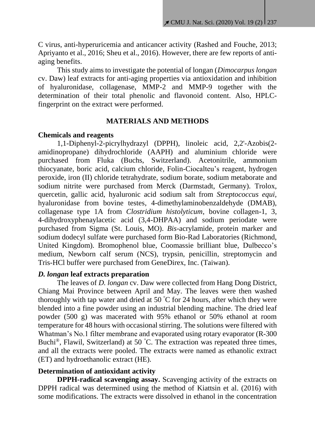C virus, anti-hyperuricemia and anticancer activity (Rashed and Fouche, 2013; Apriyanto et al., 2016; Sheu et al., 2016). However, there are few reports of antiaging benefits.

This study aims to investigate the potential of longan (*Dimocarpus longan* cv. Daw) leaf extracts for anti-aging properties via antioxidation and inhibition of hyaluronidase, collagenase, MMP-2 and MMP-9 together with the determination of their total phenolic and flavonoid content. Also, HPLCfingerprint on the extract were performed.

## **MATERIALS AND METHODS**

## **Chemicals and reagents**

1,1-Diphenyl-2-picrylhydrazyl (DPPH), linoleic acid, 2,2'-Azobis(2 amidinopropane) dihydrochloride (AAPH) and aluminium chloride were purchased from Fluka (Buchs, Switzerland). Acetonitrile, ammonium thiocyanate, boric acid, calcium chloride, Folin-Ciocalteu's reagent, hydrogen peroxide, iron (II) chloride tetrahydrate, sodium borate, sodium metaborate and sodium nitrite were purchased from Merck (Darmstadt, Germany). Trolox, quercetin, gallic acid, hyaluronic acid sodium salt from *Streptococcus equi,* hyaluronidase from bovine testes, 4-dimethylaminobenzaldehyde (DMAB), collagenase type 1A from *Clostridium histolyticum*, bovine collagen-1, 3, 4-dihydroxyphenaylacetic acid (3,4-DHPAA) and sodium periodate were purchased from Sigma (St. Louis, MO). *Bis*-acrylamide, protein marker and sodium dodecyl sulfate were purchased form Bio-Rad Laboratories (Richmond, United Kingdom). Bromophenol blue, Coomassie brilliant blue, Dulbecco's medium, Newborn calf serum (NCS), trypsin, penicillin, streptomycin and Tris-HCl buffer were purchased from GeneDirex, Inc. (Taiwan).

## *D. longan* **leaf extracts preparation**

The leaves of *D. longan* cv. Daw were collected from Hang Dong District, Chiang Mai Province between April and May. The leaves were then washed thoroughly with tap water and dried at 50 °C for 24 hours, after which they were blended into a fine powder using an industrial blending machine. The dried leaf powder (500 g) was macerated with 95% ethanol or 50% ethanol at room temperature for 48 hours with occasional stirring. The solutions were filtered with Whatman's No.1 filter membrane and evaporated using rotary evaporator (R-300 Buchi®, Flawil, Switzerland) at 50 °C. The extraction was repeated three times, and all the extracts were pooled. The extracts were named as ethanolic extract (ET) and hydroethanolic extract (HE).

## **Determination of antioxidant activity**

**DPPH-radical scavenging assay.** Scavenging activity of the extracts on DPPH radical was determined using the method of Kiattsin et al. (2016) with some modifications. The extracts were dissolved in ethanol in the concentration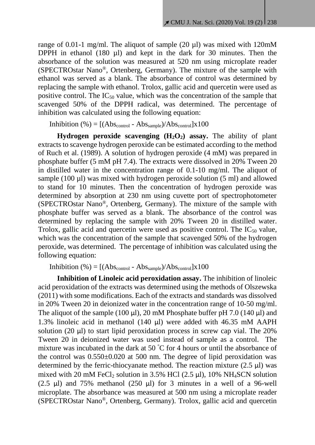range of 0.01-1 mg/ml. The aliquot of sample (20 µl) was mixed with 120mM DPPH in ethanol (180  $\mu$ I) and kept in the dark for 30 minutes. Then the absorbance of the solution was measured at 520 nm using microplate reader (SPECTROstar Nano®, Ortenberg, Germany). The mixture of the sample with ethanol was served as a blank. The absorbance of control was determined by replacing the sample with ethanol. Trolox, gallic acid and quercetin were used as positive control. The  $IC_{50}$  value, which was the concentration of the sample that scavenged 50% of the DPPH radical, was determined. The percentage of inhibition was calculated using the following equation:

Inhibition  $\left(\% \right) = \left[ (Abs_{control} - Abs_{sample})/Abs_{control} \right] \times 100$ 

**Hydrogen peroxide scavenging**  $(H_2O_2)$  **assay. The ability of plant** extracts to scavenge hydrogen peroxide can be estimated according to the method of Ruch et al. (1989). A solution of hydrogen peroxide (4 mM) was prepared in phosphate buffer (5 mM pH 7.4). The extracts were dissolved in 20% Tween 20 in distilled water in the concentration range of 0.1-10 mg/ml. The aliquot of sample (100 µl) was mixed with hydrogen peroxide solution (5 ml) and allowed to stand for 10 minutes. Then the concentration of hydrogen peroxide was determined by absorption at 230 nm using cuvette port of spectrophotometer (SPECTROstar Nano®, Ortenberg, Germany). The mixture of the sample with phosphate buffer was served as a blank. The absorbance of the control was determined by replacing the sample with 20% Tween 20 in distilled water. Trolox, gallic acid and quercetin were used as positive control. The  $IC_{50}$  value, which was the concentration of the sample that scavenged 50% of the hydrogen peroxide, was determined. The percentage of inhibition was calculated using the following equation:

Inhibition  $(\%) = [(\text{Abs}_{\text{control}} - \text{Abs}_{\text{sample}})/\text{Abs}_{\text{control}}] \times 100$ 

**Inhibition of Linoleic acid peroxidation assay.** The inhibition of linoleic acid peroxidation of the extracts was determined using the methods of Olszewska (2011) with some modifications. Each of the extracts and standards was dissolved in 20% Tween 20 in deionized water in the concentration range of 10-50 mg/ml. The aliquot of the sample (100  $\mu$ l), 20 mM Phosphate buffer pH 7.0 (140  $\mu$ l) and 1.3% linoleic acid in methanol (140 µl) were added with 46.35 mM AAPH solution (20  $\mu$ ) to start lipid peroxidation process in screw cap vial. The 20% Tween 20 in deionized water was used instead of sample as a control. The mixture was incubated in the dark at 50 °C for 4 hours or until the absorbance of the control was 0.550±0.020 at 500 nm. The degree of lipid peroxidation was determined by the ferric-thiocyanate method. The reaction mixture  $(2.5 \mu l)$  was mixed with 20 mM FeCl<sub>2</sub> solution in 3.5% HCl (2.5  $\mu$ l), 10% NH<sub>4</sub>SCN solution (2.5  $\mu$ l) and 75% methanol (250  $\mu$ l) for 3 minutes in a well of a 96-well microplate. The absorbance was measured at 500 nm using a microplate reader (SPECTROstar Nano®, Ortenberg, Germany). Trolox, gallic acid and quercetin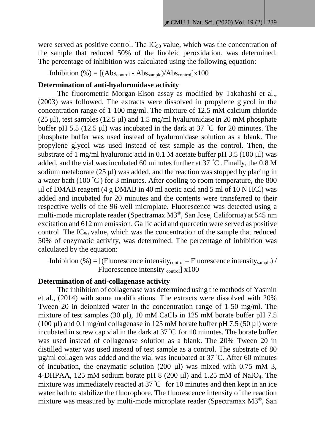were served as positive control. The  $IC_{50}$  value, which was the concentration of the sample that reduced 50% of the linoleic peroxidation, was determined. The percentage of inhibition was calculated using the following equation:

Inhibition  $\left(\% \right) = \left[ (Abs_{control} - Abs_{sample})/Abs_{control} \right] \times 100$ 

### **Determination of anti-hyaluronidase activity**

The fluorometric Morgan-Elson assay as modified by Takahashi et al., (2003) was followed. The extracts were dissolved in propylene glycol in the concentration range of 1-100 mg/ml. The mixture of 12.5 mM calcium chloride (25  $\mu$ l), test samples (12.5  $\mu$ l) and 1.5 mg/ml hyaluronidase in 20 mM phosphate buffer pH 5.5 (12.5  $\mu$ ) was incubated in the dark at 37 °C for 20 minutes. The phosphate buffer was used instead of hyaluronidase solution as a blank. The propylene glycol was used instead of test sample as the control. Then, the substrate of 1 mg/ml hyaluronic acid in 0.1 M acetate buffer pH 3.5 (100  $\mu$ l) was added, and the vial was incubated 60 minutes further at 37 °C. Finally, the 0.8 M sodium metaborate  $(25 \text{ µ})$  was added, and the reaction was stopped by placing in a water bath (100  $\degree$ C) for 3 minutes. After cooling to room temperature, the 800  $\mu$ l of DMAB reagent (4 g DMAB in 40 ml acetic acid and 5 ml of 10 N HCl) was added and incubated for 20 minutes and the contents were transferred to their respective wells of the 96-well microplate. Fluorescence was detected using a multi-mode microplate reader (Spectramax M3®, San Jose, California) at 545 nm excitation and 612 nm emission. Gallic acid and quercetin were served as positive control. The  $IC_{50}$  value, which was the concentration of the sample that reduced 50% of enzymatic activity, was determined. The percentage of inhibition was calculated by the equation:

Inhibition (%) =  $[(Fluorescence intensity<sub>control</sub> - Fluorescence intensity<sub>sample</sub>) /$ Fluorescence intensity control x100

### **Determination of anti-collagenase activity**

The inhibition of collagenase was determined using the methods of Yasmin et al., (2014) with some modifications. The extracts were dissolved with 20% Tween 20 in deionized water in the concentration range of 1-50 mg/ml. The mixture of test samples (30 µl), 10 mM CaCl<sub>2</sub> in 125 mM borate buffer pH 7.5 (100  $\mu$ l) and 0.1 mg/ml collagenase in 125 mM borate buffer pH 7.5 (50  $\mu$ l) were incubated in screw cap vial in the dark at 37 °C for 10 minutes. The borate buffer was used instead of collagenase solution as a blank. The 20% Tween 20 in distilled water was used instead of test sample as a control. The substrate of 80  $\mu$ g/ml collagen was added and the vial was incubated at 37 °C. After 60 minutes of incubation, the enzymatic solution (200  $\mu$ I) was mixed with 0.75 mM 3, 4-DHPAA, 125 mM sodium borate pH 8 (200 µl) and 1.25 mM of NaIO4. The mixture was immediately reacted at  $37^{\circ}$ C for 10 minutes and then kept in an ice water bath to stabilize the fluorophore. The fluorescence intensity of the reaction mixture was measured by multi-mode microplate reader (Spectramax M3®, San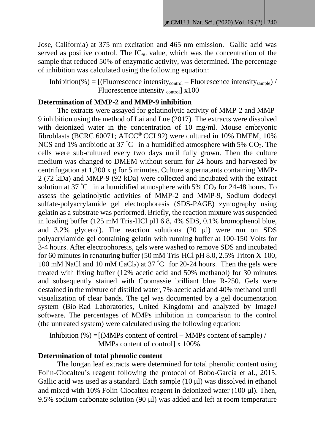Jose, California) at 375 nm excitation and 465 nm emission. Gallic acid was served as positive control. The  $IC_{50}$  value, which was the concentration of the sample that reduced 50% of enzymatic activity, was determined. The percentage of inhibition was calculated using the following equation:

Inhibition(%) =  $[(Fluorescence intensity<sub>control</sub> - Fluorescence intensity<sub>sample</sub>) /$ Fluorescence intensity control] x100

## **Determination of MMP-2 and MMP-9 inhibition**

The extracts were assayed for gelatinolytic activity of MMP-2 and MMP-9 inhibition using the method of Lai and Lue (2017). The extracts were dissolved with deionized water in the concentration of 10 mg/ml. Mouse embryonic fibroblasts (BCRC 60071; ATCC® CCL92) were cultured in 10% DMEM, 10% NCS and 1% antibiotic at 37 °C in a humidified atmosphere with 5%  $CO<sub>2</sub>$ . The cells were sub-cultured every two days until fully grown. Then the culture medium was changed to DMEM without serum for 24 hours and harvested by centrifugation at 1,200 x g for 5 minutes. Culture supernatants containing MMP-2 (72 kDa) and MMP-9 (92 kDa) were collected and incubated with the extract solution at 37 °C in a humidified atmosphere with 5%  $CO<sub>2</sub>$  for 24-48 hours. To assess the gelatinolytic activities of MMP-2 and MMP-9, Sodium dodecyl sulfate-polyacrylamide gel electrophoresis (SDS-PAGE) zymography using gelatin as a substrate was performed. Briefly, the reaction mixture was suspended in loading buffer (125 mM Tris-HCl pH 6.8, 4% SDS, 0.1% bromophenol blue, and 3.2% glycerol). The reaction solutions  $(20 \mu l)$  were run on SDS polyacrylamide gel containing gelatin with running buffer at 100-150 Volts for 3-4 hours. After electrophoresis, gels were washed to remove SDS and incubated for 60 minutes in renaturing buffer (50 mM Tris-HCl pH 8.0, 2.5% Triton X-100, 100 mM NaCl and 10 mM CaCl<sub>2</sub>) at 37  $^{\circ}$ C for 20-24 hours. Then the gels were treated with fixing buffer (12% acetic acid and 50% methanol) for 30 minutes and subsequently stained with Coomassie brilliant blue R-250. Gels were destained in the mixture of distilled water, 7% acetic acid and 40% methanol until visualization of clear bands. The gel was documented by a gel documentation system (Bio-Rad Laboratories, United Kingdom) and analyzed by ImageJ software. The percentages of MMPs inhibition in comparison to the control (the untreated system) were calculated using the following equation:

Inhibition  $\%$ ) = [(MMPs content of control – MMPs content of sample) / MMPs content of control] x 100%.

## **Determination of total phenolic content**

The longan leaf extracts were determined for total phenolic content using Folin-Ciocalteu's reagent following the protocol of Bobo-Garcia et al., 2015. Gallic acid was used as a standard. Each sample  $(10 \mu l)$  was dissolved in ethanol and mixed with 10% Folin-Ciocalteu reagent in deionized water  $(100 \mu l)$ . Then, 9.5% sodium carbonate solution (90 µl) was added and left at room temperature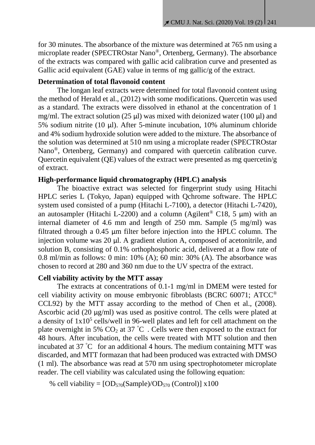for 30 minutes. The absorbance of the mixture was determined at 765 nm using a microplate reader (SPECTROstar Nano®, Ortenberg, Germany). The absorbance of the extracts was compared with gallic acid calibration curve and presented as Gallic acid equivalent (GAE) value in terms of mg gallic/g of the extract.

## **Determination of total flavonoid content**

The longan leaf extracts were determined for total flavonoid content using the method of Herald et al., (2012) with some modifications. Quercetin was used as a standard. The extracts were dissolved in ethanol at the concentration of 1 mg/ml. The extract solution (25  $\mu$ l) was mixed with deionized water (100  $\mu$ l) and 5% sodium nitrite (10 µl). After 5-minute incubation, 10% aluminum chloride and 4% sodium hydroxide solution were added to the mixture. The absorbance of the solution was determined at 510 nm using a microplate reader (SPECTROstar Nano®, Ortenberg, Germany) and compared with quercetin calibration curve. Quercetin equivalent (QE) values of the extract were presented as mg quercetin/g of extract.

## **High-performance liquid chromatography (HPLC) analysis**

The bioactive extract was selected for fingerprint study using Hitachi HPLC series L (Tokyo, Japan) equipped with Qchrome software. The HPLC system used consisted of a pump (Hitachi L-7100), a detector (Hitachi L-7420), an autosampler (Hitachi L-2200) and a column (Agilent<sup>®</sup> C18, 5  $\mu$ m) with an internal diameter of 4.6 mm and length of 250 mm. Sample (5 mg/ml) was filtrated through a 0.45 µm filter before injection into the HPLC column. The injection volume was 20 µl. A gradient elution A, composed of acetonitrile, and solution B, consisting of 0.1% orthophosphoric acid, delivered at a flow rate of 0.8 ml/min as follows: 0 min: 10% (A); 60 min: 30% (A). The absorbance was chosen to record at 280 and 360 nm due to the UV spectra of the extract.

## **Cell viability activity by the MTT assay**

The extracts at concentrations of 0.1-1 mg/ml in DMEM were tested for cell viability activity on mouse embryonic fibroblasts (BCRC 60071; ATCC® CCL92) by the MTT assay according to the method of Chen et al., (2008). Ascorbic acid (20 µg/ml) was used as positive control. The cells were plated at a density of  $1x10^5$  cells/well in 96-well plates and left for cell attachment on the plate overnight in 5%  $CO<sub>2</sub>$  at 37 °C. Cells were then exposed to the extract for 48 hours. After incubation, the cells were treated with MTT solution and then incubated at 37 °C for an additional 4 hours. The medium containing MTT was discarded, and MTT formazan that had been produced was extracted with DMSO (1 ml). The absorbance was read at 570 nm using spectrophotometer microplate reader. The cell viability was calculated using the following equation:

% cell viability =  $[OD_{570}(Sample)/OD_{570}(Control)] \times 100$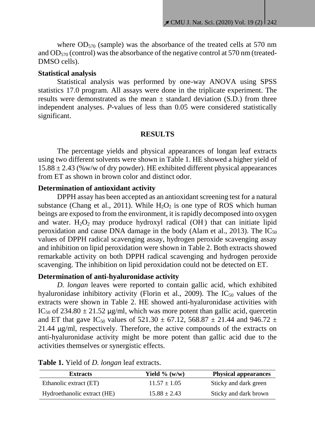where  $OD_{570}$  (sample) was the absorbance of the treated cells at 570 nm and  $OD_{570}$  (control) was the absorbance of the negative control at 570 nm (treated-DMSO cells).

#### **Statistical analysis**

Statistical analysis was performed by one-way ANOVA using SPSS statistics 17.0 program. All assays were done in the triplicate experiment. The results were demonstrated as the mean  $\pm$  standard deviation (S.D.) from three independent analyses. *P-*values of less than 0.05 were considered statistically significant.

#### **RESULTS**

The percentage yields and physical appearances of longan leaf extracts using two different solvents were shown in Table 1. HE showed a higher yield of  $15.88 \pm 2.43$  (%w/w of dry powder). HE exhibited different physical appearances from ET as shown in brown color and distinct odor.

## **Determination of antioxidant activity**

DPPH assay has been accepted as an antioxidant screening test for a natural substance (Chang et al., 2011). While  $H_2O_2$  is one type of ROS which human beings are exposed to from the environment, it is rapidly decomposed into oxygen and water.  $H_2O_2$  may produce hydroxyl radical (OH $\cdot$ ) that can initiate lipid peroxidation and cause DNA damage in the body (Alam et al., 2013). The  $IC_{50}$ values of DPPH radical scavenging assay, hydrogen peroxide scavenging assay and inhibition on lipid peroxidation were shown in Table 2. Both extracts showed remarkable activity on both DPPH radical scavenging and hydrogen peroxide scavenging. The inhibition on lipid peroxidation could not be detected on ET.

### **Determination of anti-hyaluronidase activity**

*D. longan* leaves were reported to contain gallic acid, which exhibited hyaluronidase inhibitory activity (Florin et al., 2009). The  $IC_{50}$  values of the extracts were shown in Table 2. HE showed anti-hyaluronidase activities with IC<sub>50</sub> of 234.80  $\pm$  21.52 µg/ml, which was more potent than gallic acid, quercetin and ET that gave IC<sub>50</sub> values of 521.30  $\pm$  67.12, 568.87  $\pm$  21.44 and 946.72  $\pm$ 21.44 µg/ml, respectively. Therefore, the active compounds of the extracts on anti-hyaluronidase activity might be more potent than gallic acid due to the activities themselves or synergistic effects.

| <b>Extracts</b>             | Yield $\%$ (w/w) | <b>Physical appearances</b> |
|-----------------------------|------------------|-----------------------------|
| Ethanolic extract (ET)      | $11.57 + 1.05$   | Sticky and dark green       |
| Hydroethanolic extract (HE) | $15.88 \pm 2.43$ | Sticky and dark brown       |

**Table 1.** Yield of *D. longan* leaf extracts.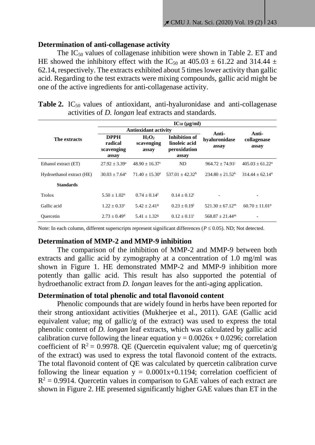#### **Determination of anti-collagenase activity**

The  $IC_{50}$  values of collagenase inhibition were shown in Table 2. ET and HE showed the inhibitory effect with the IC<sub>50</sub> at  $405.03 \pm 61.22$  and  $314.44 \pm 1$ 62.14, respectively. The extracts exhibited about 5 times lower activity than gallic acid. Regarding to the test extracts were mixing compounds, gallic acid might be one of the active ingredients for anti-collagenase activity.

|  | <b>Table 2.</b> IC <sub>50</sub> values of antioxidant, anti-hyaluronidase and anti-collagenase |  |
|--|-------------------------------------------------------------------------------------------------|--|
|  | activities of <i>D. longan</i> leaf extracts and standards.                                     |  |

|                           | $IC_{50}$ ( $\mu$ g/ml)                       |                                 |                                                                |                          |                                 |
|---------------------------|-----------------------------------------------|---------------------------------|----------------------------------------------------------------|--------------------------|---------------------------------|
|                           | <b>Antioxidant activity</b>                   |                                 |                                                                | Anti-                    | Anti-                           |
| The extracts              | <b>DPPH</b><br>radical<br>scavenging<br>assay | $H_2O_2$<br>scavenging<br>assay | <b>Inhibition of</b><br>linoleic acid<br>peroxidation<br>assay | hyaluronidase<br>assay   | collagenase<br>assay            |
| Ethanol extract (ET)      | $27.92 + 3.39^{\circ}$                        | $48.90 + 16.37$ <sup>c</sup>    | N <sub>D</sub>                                                 | $964.72 + 74.91^{\circ}$ | $405.03 \pm 61.22$ <sup>n</sup> |
| Hydroethanol extract (HE) | $30.03 + 7.64^{\circ}$                        | $71.40 + 15.30^e$               | $537.01 + 42.32h$                                              | $234.80 + 21.52^k$       | $314.44 + 62.14n$               |
| <b>Standards</b>          |                                               |                                 |                                                                |                          |                                 |
| Trolox                    | $5.50 + 1.02n$                                | $0.74 + 0.14$ <sup>f</sup>      | $0.14 + 0.12^i$                                                |                          |                                 |
| Gallic acid               | $1.22 + 0.33^{\circ}$                         | $5.42 + 2.41$ <sup>g</sup>      | $0.23 + 0.19$ <sup>i</sup>                                     | $521.30 + 67.12m$        | $60.70 + 11.01p$                |
| <b>Ouercetin</b>          | $2.73 + 0.49^d$                               | $5.41 + 1.32$ <sup>g</sup>      | $0.12 + 0.11$ <sup>i</sup>                                     | $568.87 + 21.44m$        |                                 |

Note: In each column, different superscripts represent significant differences ( $P \le 0.05$ ). ND; Not detected.

## **Determination of MMP-2 and MMP-9 inhibition**

The comparison of the inhibition of MMP-2 and MMP-9 between both extracts and gallic acid by zymography at a concentration of 1.0 mg/ml was shown in Figure 1. HE demonstrated MMP-2 and MMP-9 inhibition more potently than gallic acid. This result has also supported the potential of hydroethanolic extract from *D. longan* leaves for the anti-aging application.

## **Determination of total phenolic and total flavonoid content**

Phenolic compounds that are widely found in herbs have been reported for their strong antioxidant activities (Mukherjee et al., 2011). GAE (Gallic acid equivalent value; mg of gallic/g of the extract) was used to express the total phenolic content of *D. longan* leaf extracts, which was calculated by gallic acid calibration curve following the linear equation  $y = 0.0026x + 0.0296$ ; correlation coefficient of  $R^2 = 0.9978$ . OE (Quercetin equivalent value; mg of quercetin/g of the extract) was used to express the total flavonoid content of the extracts. The total flavonoid content of QE was calculated by quercetin calibration curve following the linear equation  $y = 0.0001x+0.1194$ ; correlation coefficient of  $R<sup>2</sup> = 0.9914$ . Quercetin values in comparison to GAE values of each extract are shown in Figure 2. HE presented significantly higher GAE values than ET in the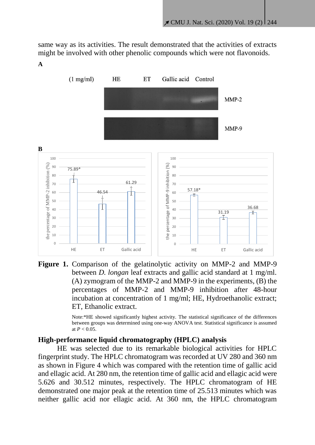same way as its activities. The result demonstrated that the activities of extracts might be involved with other phenolic compounds which were not flavonoids. **A**



**Figure 1.** Comparison of the gelatinolytic activity on MMP-2 and MMP-9 between *D. longan* leaf extracts and gallic acid standard at 1 mg/ml. (A) zymogram of the MMP-2 and MMP-9 in the experiments, (B) the percentages of MMP-2 and MMP-9 inhibition after 48-hour incubation at concentration of 1 mg/ml; HE, Hydroethanolic extract; ET, Ethanolic extract.

> Note:\*HE showed significantly highest activity. The statistical significance of the differences between groups was determined using one-way ANOVA test. Statistical significance is assumed at  $P < 0.05$ .

#### **High-performance liquid chromatography (HPLC) analysis**

HE was selected due to its remarkable biological activities for HPLC fingerprint study. The HPLC chromatogram was recorded at UV 280 and 360 nm as shown in Figure 4 which was compared with the retention time of gallic acid and ellagic acid. At 280 nm, the retention time of gallic acid and ellagic acid were 5.626 and 30.512 minutes, respectively. The HPLC chromatogram of HE demonstrated one major peak at the retention time of 25.513 minutes which was neither gallic acid nor ellagic acid. At 360 nm, the HPLC chromatogram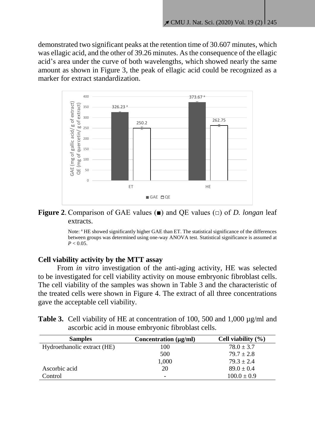demonstrated two significant peaks at the retention time of 30.607 minutes, which was ellagic acid, and the other of 39.26 minutes. As the consequence of the ellagic acid's area under the curve of both wavelengths, which showed nearly the same amount as shown in Figure 3, the peak of ellagic acid could be recognized as a marker for extract standardization.



## **Figure 2**. Comparison of GAE values (■) and QE values (□) of *D. longan* leaf extracts.

Note: <sup>a</sup> HE showed significantly higher GAE than ET. The statistical significance of the differences between groups was determined using one-way ANOVA test. Statistical significance is assumed at  $P < 0.05$ .

## **Cell viability activity by the MTT assay**

From *in vitro* investigation of the anti-aging activity, HE was selected to be investigated for cell viability activity on mouse embryonic fibroblast cells. The cell viability of the samples was shown in Table 3 and the characteristic of the treated cells were shown in Figure 4. The extract of all three concentrations gave the acceptable cell viability.

| <b>Table 3.</b> Cell viability of HE at concentration of 100, 500 and 1,000 $\mu$ g/ml and |
|--------------------------------------------------------------------------------------------|
| ascorbic acid in mouse embryonic fibroblast cells.                                         |

| <b>Samples</b>              | Concentration $(\mu g/ml)$ | Cell viability $(\% )$ |
|-----------------------------|----------------------------|------------------------|
| Hydroethanolic extract (HE) | 100                        | $78.0 \pm 3.7$         |
|                             | 500                        | $79.7 \pm 2.8$         |
|                             | 1,000                      | $79.3 \pm 2.4$         |
| Ascorbic acid               | 20                         | $89.0 \pm 0.4$         |
| Control                     | -                          | $100.0 \pm 0.9$        |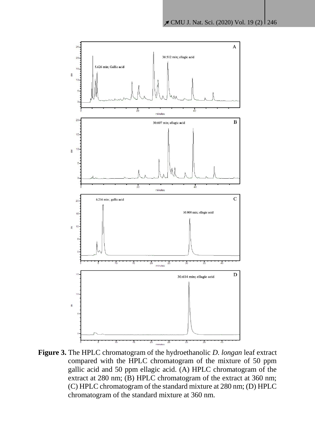

**Figure 3.** The HPLC chromatogram of the hydroethanolic *D. longan* leaf extract compared with the HPLC chromatogram of the mixture of 50 ppm gallic acid and 50 ppm ellagic acid. (A) HPLC chromatogram of the extract at 280 nm; (B) HPLC chromatogram of the extract at 360 nm; (C) HPLC chromatogram of the standard mixture at 280 nm; (D) HPLC chromatogram of the standard mixture at 360 nm.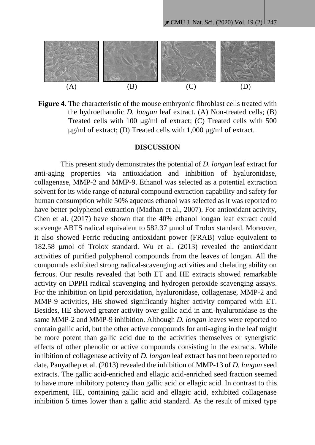

**Figure 4.** The characteristic of the mouse embryonic fibroblast cells treated with the hydroethanolic *D. longan* leaf extract. (A) Non-treated cells; (B) Treated cells with 100  $\mu$ g/ml of extract; (C) Treated cells with 500  $\mu$ g/ml of extract; (D) Treated cells with 1,000  $\mu$ g/ml of extract.

#### **DISCUSSION**

This present study demonstrates the potential of *D. longan* leaf extract for anti-aging properties via antioxidation and inhibition of hyaluronidase, collagenase, MMP-2 and MMP-9. Ethanol was selected as a potential extraction solvent for its wide range of natural compound extraction capability and safety for human consumption while 50% aqueous ethanol was selected as it was reported to have better polyphenol extraction (Madhan et al., 2007). For antioxidant activity, Chen et al. (2017) have shown that the 40% ethanol longan leaf extract could scavenge ABTS radical equivalent to 582.37  $\mu$ mol of Trolox standard. Moreover, it also showed Ferric reducing antioxidant power (FRAB) value equivalent to 182.58 µmol of Trolox standard. Wu et al. (2013) revealed the antioxidant activities of purified polyphenol compounds from the leaves of longan. All the compounds exhibited strong radical-scavenging activities and chelating ability on ferrous. Our results revealed that both ET and HE extracts showed remarkable activity on DPPH radical scavenging and hydrogen peroxide scavenging assays. For the inhibition on lipid peroxidation, hyaluronidase, collagenase, MMP-2 and MMP-9 activities, HE showed significantly higher activity compared with ET. Besides, HE showed greater activity over gallic acid in anti-hyaluronidase as the same MMP-2 and MMP-9 inhibition. Although *D. longan* leaves were reported to contain gallic acid, but the other active compounds for anti-aging in the leaf might be more potent than gallic acid due to the activities themselves or synergistic effects of other phenolic or active compounds consisting in the extracts. While inhibition of collagenase activity of *D. longan* leaf extract has not been reported to date, Panyathep et al. (2013) revealed the inhibition of MMP-13 of *D. longan* seed extracts. The gallic acid-enriched and ellagic acid-enriched seed fraction seemed to have more inhibitory potency than gallic acid or ellagic acid. In contrast to this experiment, HE, containing gallic acid and ellagic acid, exhibited collagenase inhibition 5 times lower than a gallic acid standard. As the result of mixed type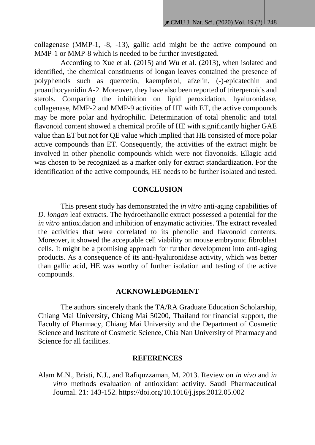collagenase (MMP-1, -8, -13), gallic acid might be the active compound on MMP-1 or MMP-8 which is needed to be further investigated.

According to Xue et al. (2015) and Wu et al. (2013), when isolated and identified, the chemical constituents of longan leaves contained the presence of polyphenols such as quercetin, kaempferol, afzelin, (-)-epicatechin and proanthocyanidin A-2. Moreover, they have also been reported of triterpenoids and sterols. Comparing the inhibition on lipid peroxidation, hyaluronidase, collagenase, MMP-2 and MMP-9 activities of HE with ET, the active compounds may be more polar and hydrophilic. Determination of total phenolic and total flavonoid content showed a chemical profile of HE with significantly higher GAE value than ET but not for QE value which implied that HE consisted of more polar active compounds than ET. Consequently, the activities of the extract might be involved in other phenolic compounds which were not flavonoids. Ellagic acid was chosen to be recognized as a marker only for extract standardization. For the identification of the active compounds, HE needs to be further isolated and tested.

## **CONCLUSION**

This present study has demonstrated the *in vitro* anti-aging capabilities of *D. longan* leaf extracts. The hydroethanolic extract possessed a potential for the *in vitro* antioxidation and inhibition of enzymatic activities. The extract revealed the activities that were correlated to its phenolic and flavonoid contents. Moreover, it showed the acceptable cell viability on mouse embryonic fibroblast cells. It might be a promising approach for further development into anti-aging products. As a consequence of its anti-hyaluronidase activity, which was better than gallic acid, HE was worthy of further isolation and testing of the active compounds.

#### **ACKNOWLEDGEMENT**

The authors sincerely thank the TA/RA Graduate Education Scholarship, Chiang Mai University, Chiang Mai 50200, Thailand for financial support, the Faculty of Pharmacy, Chiang Mai University and the Department of Cosmetic Science and Institute of Cosmetic Science, Chia Nan University of Pharmacy and Science for all facilities.

#### **REFERENCES**

Alam M.N., Bristi, N.J., and Rafiquzzaman, M. 2013. Review on *in vivo* and *in vitro* methods evaluation of antioxidant activity. Saudi Pharmaceutical Journal. 21: 143-152. https://doi.org/10.1016/j.jsps.2012.05.002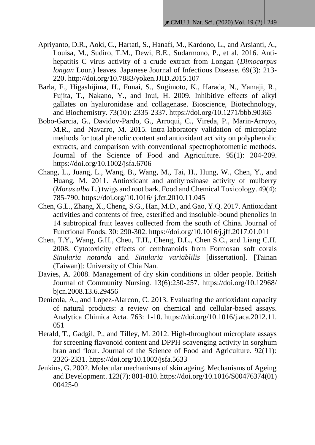- Apriyanto, D.R., Aoki, C., Hartati, S., Hanafi, M., Kardono, L., and Arsianti, A., Louisa, M., Sudiro, T.M., Dewi, B.E., Sudarmono, P., et al. 2016. Antihepatitis C virus activity of a crude extract from Longan (*Dimocarpus longan* Lour.) leaves. Japanese Journal of Infectious Disease. 69(3): 213-220. <http://doi.org/10.7883/yoken.JJID.2015.107>
- Barla, F., Higashijima, H., Funai, S., Sugimoto, K., Harada, N., Yamaji, R., Fujita, T., Nakano, Y., and Inui, H. 2009. Inhibitive effects of alkyl gallates on hyaluronidase and collagenase. Bioscience, Biotechnology, and Biochemistry. 73(10): 2335-2337. https://doi.org/10.1271/bbb.90365
- Bobo-Garcia, G., Davidov-Pardo, G., Arroqui, C., Vireda, P., Marin-Arroyo, M.R., and Navarro, M. 2015. Intra-laboratory validation of microplate methods for total phenolic content and antioxidant activity on polyphenolic extracts, and comparison with conventional spectrophotometric methods. Journal of the Science of Food and Agriculture. 95(1): 204-209. https://doi.org/10.1002/jsfa.6706
- Chang, L., Juang, L., Wang, B., Wang, M., Tai, H., Hung, W., Chen, Y., and Huang, M. 2011. Antioxidant and antityrosinase activity of mulberry (*Morus alba* L.) twigs and root bark. Food and Chemical Toxicology. 49(4): 785-790. https://doi.org/10.1016/ j.fct.2010.11.045
- Chen, G.L., Zhang, X., Cheng, S.G., Han, M.D., and Gao, Y.Q. 2017. Antioxidant activities and contents of free, esterified and insoluble-bound phenolics in 14 subtropical fruit leaves collected from the south of China. Journal of Functional Foods. 30: 290-302. https://doi.org/10.1016/j.jff.2017.01.011
- Chen, T.Y., Wang, G.H., Cheu, T.H., Cheng, D.L., Chen S.C., and Liang C.H. 2008. Cytotoxicity effects of cembranoids from Formosan soft corals *Sinularia notanda* and *Sinularia variablilis* [dissertation]. [Tainan (Taiwan)]: University of Chia Nan.
- Davies, A. 2008. Management of dry skin conditions in older people. British Journal of Community Nursing. 13(6):250-257. https://doi.org/10.12968/ bjcn.2008.13.6.29456
- Denicola, A., and Lopez-Alarcon, C. 2013. Evaluating the antioxidant capacity of natural products: a review on chemical and cellular-based assays. Analytica Chimica Acta. 763: 1-10. https://doi.org/10.1016/j.aca[.2012.11.](https://doi.org/10.1016/j.aca.2012.11.051) [051](https://doi.org/10.1016/j.aca.2012.11.051)
- Herald, T., Gadgil, P., and Tilley, M. 2012. High-throughout microplate assays for screening flavonoid content and DPPH-scavenging activity in sorghum bran and flour. Journal of the Science of Food and Agriculture. 92(11): 2326-2331. https://doi.org/10.1002/jsfa.5633
- Jenkins, G. 2002. Molecular mechanisms of skin ageing. Mechanisms of Ageing and Development. 123(7): 801-810. [https://doi.org/10.1016/S00476374\(01\)](https://doi.org/10.1016/S00476374(01)%0b00425-0) [00425-0](https://doi.org/10.1016/S00476374(01)%0b00425-0)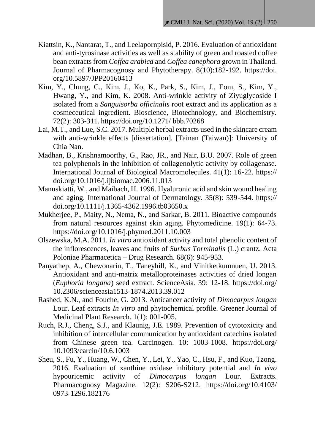- Kiattsin, K., Nantarat, T., and Leelapornpisid, P. 2016. Evaluation of antioxidant and anti-tyrosinase activities as well as stability of green and roasted coffee bean extracts from *Coffea arabica* and *Coffea canephora* grown in Thailand. Journal of Pharmacognosy and Phytotherapy. 8(10):182-192. https://doi. org/10.5897/JPP20160413
- Kim, Y., Chung, C., Kim, J., Ko, K., Park, S., Kim, J., Eom, S., Kim, Y., Hwang, Y., and Kim, K. 2008. Anti-wrinkle activity of Ziyuglycoside I isolated from a *Sanguisorba officinalis* root extract and its application as a cosmeceutical ingredient. Bioscience, Biotechnology, and Biochemistry. 72(2): 303-311. https://doi.org/10.1271/ [bbb.70268](https://doi.org/10.1271/bbb.70268)
- Lai, M.T., and Lue, S.C. 2017. Multiple herbal extracts used in the skincare cream with anti-wrinkle effects [dissertation]. [Tainan (Taiwan)]: University of Chia Nan.
- Madhan, B., Krishnamoorthy, G., Rao, JR., and Nair, B.U. 2007. Role of green tea polyphenols in the inhibition of collagenolytic activity by collagenase. International Journal of Biological Macromolecules. 41(1): 16-22. https:// doi.org/10.1016/j.ijbiomac.2006.11.013
- Manuskiatti, W., and Maibach, H. 1996. Hyaluronic acid and skin wound healing and aging. International Journal of Dermatology. 35(8): 539-544. https:// doi.org/10.1111/j.1365-4362.1996.tb03650.x
- Mukherjee, P., Maity, N., Nema, N., and Sarkar, B. 2011. Bioactive compounds from natural resources against skin aging. Phytomedicine. 19(1): 64-73. <https://doi.org/10.1016/j.phymed.2011.10.003>
- Olszewska, M.A. 2011. *In vitro* antioxidant activity and total phenolic content of the inflorescences, leaves and fruits of *Surbus Torminalis* (L.) crantz. Acta Poloniae Pharmacetica – Drug Research. 68(6): 945-953.
- Panyathep, A., Chewonarin, T., Taneyhill, K., and Vinitketkumnuen, U. 2013. Antioxidant and anti-matrix metalloproteinases activities of dried longan (*Euphoria longana*) seed extract. ScienceAsia. 39: 12-18. https://doi.org/ 10.2306/scienceasia1513-1874.2013.39.012
- Rashed, K.N., and Fouche, G. 2013. Anticancer activity of *Dimocarpus longan* Lour. Leaf extracts *In vitro* and phytochemical profile. Greener Journal of Medicinal Plant Research. 1(1): 001-005.
- Ruch, R.J., Cheng, S.J., and Klaunig, J.E. 1989. Prevention of cytotoxicity and inhibition of intercellular communication by antioxidant catechins isolated from Chinese green tea. Carcinogen. 10: 1003-1008. https://doi.org/ 10.1093/carcin/10.6.1003
- Sheu, S., Fu, Y., Huang, W., Chen, Y., Lei, Y., Yao, C., Hsu, F., and Kuo, Tzong. 2016. Evaluation of xanthine oxidase inhibitory potential and *In vivo* hypouricemic activity of *Dimocarpus longan* Lour. Extracts. Pharmacognosy Magazine. 12(2): S206-S212. [https://doi.org/10.4103/](https://doi.org/10.4103/%0b0973-1296.182176) [0973-1296.182176](https://doi.org/10.4103/%0b0973-1296.182176)